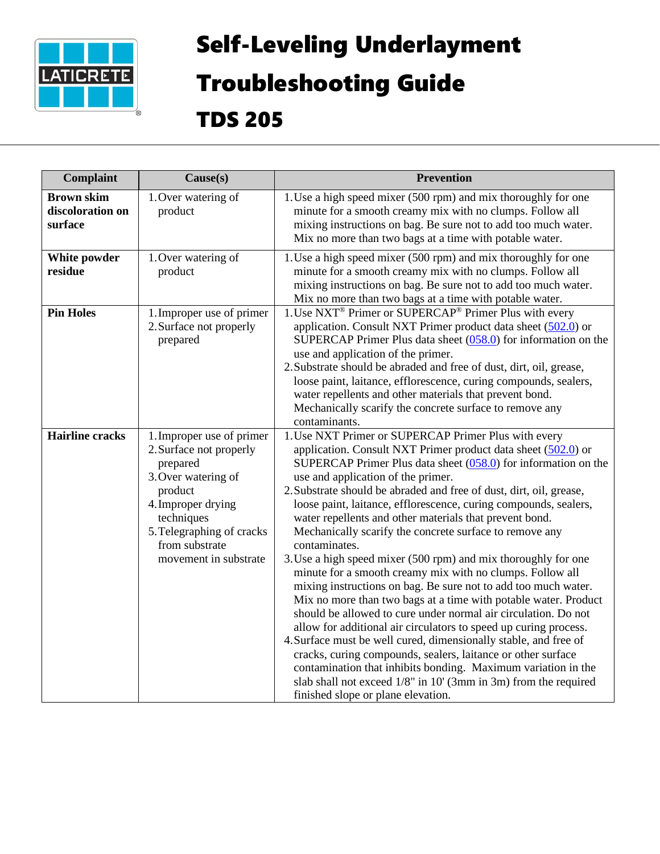

## Self-Leveling Underlayment

## Troubleshooting Guide

TDS 205

| Complaint                                        | Cause(s)                                                                                                                                                                                                       | <b>Prevention</b>                                                                                                                                                                                                                                                                                                                                                                                                                                                                                                                                                                                                                                                                                                                                                                                                                                                                                                                                                                                                                                                                                                                                                                                                                         |
|--------------------------------------------------|----------------------------------------------------------------------------------------------------------------------------------------------------------------------------------------------------------------|-------------------------------------------------------------------------------------------------------------------------------------------------------------------------------------------------------------------------------------------------------------------------------------------------------------------------------------------------------------------------------------------------------------------------------------------------------------------------------------------------------------------------------------------------------------------------------------------------------------------------------------------------------------------------------------------------------------------------------------------------------------------------------------------------------------------------------------------------------------------------------------------------------------------------------------------------------------------------------------------------------------------------------------------------------------------------------------------------------------------------------------------------------------------------------------------------------------------------------------------|
| <b>Brown skim</b><br>discoloration on<br>surface | 1. Over watering of<br>product                                                                                                                                                                                 | 1. Use a high speed mixer (500 rpm) and mix thoroughly for one<br>minute for a smooth creamy mix with no clumps. Follow all<br>mixing instructions on bag. Be sure not to add too much water.<br>Mix no more than two bags at a time with potable water.                                                                                                                                                                                                                                                                                                                                                                                                                                                                                                                                                                                                                                                                                                                                                                                                                                                                                                                                                                                  |
| White powder<br>residue                          | 1. Over watering of<br>product                                                                                                                                                                                 | 1. Use a high speed mixer (500 rpm) and mix thoroughly for one<br>minute for a smooth creamy mix with no clumps. Follow all<br>mixing instructions on bag. Be sure not to add too much water.<br>Mix no more than two bags at a time with potable water.                                                                                                                                                                                                                                                                                                                                                                                                                                                                                                                                                                                                                                                                                                                                                                                                                                                                                                                                                                                  |
| <b>Pin Holes</b>                                 | 1. Improper use of primer<br>2. Surface not properly<br>prepared                                                                                                                                               | 1. Use NXT <sup>®</sup> Primer or SUPERCAP <sup>®</sup> Primer Plus with every<br>application. Consult NXT Primer product data sheet (502.0) or<br>SUPERCAP Primer Plus data sheet $(058.0)$ for information on the<br>use and application of the primer.<br>2. Substrate should be abraded and free of dust, dirt, oil, grease,<br>loose paint, laitance, efflorescence, curing compounds, sealers,<br>water repellents and other materials that prevent bond.<br>Mechanically scarify the concrete surface to remove any<br>contaminants.                                                                                                                                                                                                                                                                                                                                                                                                                                                                                                                                                                                                                                                                                               |
| <b>Hairline</b> cracks                           | 1. Improper use of primer<br>2. Surface not properly<br>prepared<br>3. Over watering of<br>product<br>4. Improper drying<br>techniques<br>5. Telegraphing of cracks<br>from substrate<br>movement in substrate | 1. Use NXT Primer or SUPERCAP Primer Plus with every<br>application. Consult NXT Primer product data sheet (502.0) or<br>SUPERCAP Primer Plus data sheet $(058.0)$ for information on the<br>use and application of the primer.<br>2. Substrate should be abraded and free of dust, dirt, oil, grease,<br>loose paint, laitance, efflorescence, curing compounds, sealers,<br>water repellents and other materials that prevent bond.<br>Mechanically scarify the concrete surface to remove any<br>contaminates.<br>3. Use a high speed mixer (500 rpm) and mix thoroughly for one<br>minute for a smooth creamy mix with no clumps. Follow all<br>mixing instructions on bag. Be sure not to add too much water.<br>Mix no more than two bags at a time with potable water. Product<br>should be allowed to cure under normal air circulation. Do not<br>allow for additional air circulators to speed up curing process.<br>4. Surface must be well cured, dimensionally stable, and free of<br>cracks, curing compounds, sealers, laitance or other surface<br>contamination that inhibits bonding. Maximum variation in the<br>slab shall not exceed 1/8" in 10' (3mm in 3m) from the required<br>finished slope or plane elevation. |